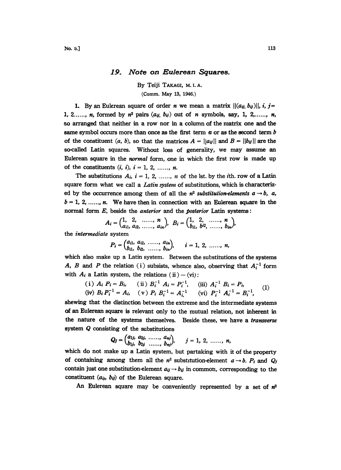## 19. Note on Eulerean Squares.

By Teiji TAKAGI, M.I.A.

(Comm. May 13, 1946.)

1. By an Eulerean square of order *n* we mean a matrix  $|| (a_{ij}, b_{ij})||$ , i, j= 1, 2..., n, formed by  $n^2$  pairs  $(a_{ij}, b_{ij})$  out of n symbols, say, 1, 2, ..., n, so arranged that neither in a row nor in a column of the matrix one and the same symbol occurs more than once as the first term  $a$  or as the second term  $b$ of the constituent (a, b), so that the matrices  $A = ||a_{ij}||$  and  $B = ||b_{ij}||$  are the so-called Latin squares. Without loss of generality, ve may assume an Eulerean square in the *normal* form, one in which the first row is made up of the constituents  $(i, i)$ ,  $i = 1, 2, \ldots, n$ .

The substitutions  $A_i$ ,  $i = 1, 2, \ldots, n$  of the lst. by the *i*th. row of a Latin square form what we call a *Latin system* of substitutions, which is characterized by the occurrence among them of all the  $n^2$  substitution-elements  $a \rightarrow b$ , a,  $b = 1, 2, \ldots, n$ . We have then in connection with an Eulerean square in the normal form E, beside the anterior and the posterior Latin systems:

$$
A_i = \begin{pmatrix} 1, & 2, & \dots, & n \\ a_{i1}, & a_{i2}, & \dots, & a_{in} \end{pmatrix}, B_i = \begin{pmatrix} 1, & 2, & \dots, & n \\ b_{i1}, & b^{i2}, & \dots, & b_{in} \end{pmatrix},
$$

the intermediate system

 $P_i = \begin{pmatrix} a_{i1}, & a_{i2}, & \dots, & a_{in} \\ b_{i1}, & b_{i2}, & \dots, & b_{in} \end{pmatrix}, \quad i = 1, 2, \dots, n,$ 

which also make up a Latin system. Between the substitutions of the systems A, B and P the relation (i) subsists, whence also, observing that  $A_i^{-1}$  form with  $A_i$  a Latin system, the relations (ii) – (vi):

(i) 
$$
A_i P_i = B_i
$$
, (ii)  $B_i^{-1} A_i = P_i^{-1}$ , (iii)  $A_i^{-1} B_i = P_i$ ,  
(iv)  $B_i P_i^{-1} = A_i$ , (v)  $P_i B_i^{-1} = A_{i,1}^{-1}$  (vi)  $P_i^{-1} A_i^{-1} = B_i^{-1}$ , (1)

shewing that the distinction between the extreme and the intermediate systems of an Eulerean square is relevant only to the mutual relation, not inherent in the nature of the systems themselves. Beside these, we have a transverse system Q consisting of the substitutions

$$
Q_j = \begin{pmatrix} a_{1j}, & a_{2j}, & \dots, & a_{nj} \\ b_{1j}, & b_{2j}, & \dots, & b_{nj} \end{pmatrix}, \qquad j = 1, 2, \dots, n,
$$

which do not make up a Latin system, but partaking with it of the property of containing among them all the  $n^2$  substitution-element  $a \rightarrow b$ .  $P_i$  and  $Q_j$ contain just one substitution-element  $a_{ij} \rightarrow b_{ij}$  in common, corresponding to the constituent  $(a_{ij}, b_{ij})$  of the Eulerean square.

An Eulerean square may be conveniently represented by a set of  $n^2$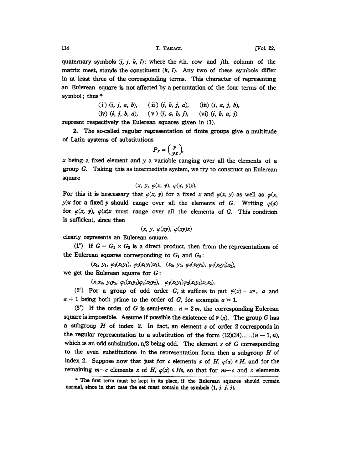quatecnary symbols  $(i, j, k, l)$ : where the *i*th. row and *j*th. column of the matrix meet, stands the constituent  $(k, l)$ . Any two of these symbols differ in at least three of the corresponding terms. This character of representing an Eulerean square is not affected by a permutation of the four terms of the symbol; thus  $*$ 

(i) 
$$
(i, j, a, b)
$$
, (ii)  $(i, b, j, a)$ , (iii)  $(i, a, j, b)$ ,  
(iv)  $(i, j, b, a)$ , (v)  $(i, a, b, j)$ , (vi)  $(i, b, a, j)$ 

represnt respectively the Eulerean squares given in (1).

2. The so-called regular representation of finite groups give a multitude of Latin systems of substitutions

$$
P_x = \left(\begin{array}{c} y \\ yx \end{array}\right),
$$

x being a fixed element and y a variable ranging over all the elements of a group G. Taking this as intermediate system, we try to construct an Eulerean square

$$
(x, y, \varphi(x, y), \varphi(x, y)x).
$$

For this it is nescessary that  $\varphi(x, y)$  for a fixed x and  $\varphi(x, y)$  as well as  $\varphi(x, y)$ y)x for a fixed y should range over all the elements of G. Writing  $\varphi(x)$ for  $\varphi(x, y)$ ,  $\varphi(x)x$  must range over all the elements of G. This condition is sufficient, since then

$$
(x, y, \varphi(xy), \varphi(xy)x)
$$

clearly represents an Eulerean square.

(1°) If  $G = G_1 \times G_2$  is a direct product, then from the representations of the Eulerean squares corresponding to  $G_1$  and  $G_2$ :

 $(x_1, y_1, \varphi_1(x_1y_1), \varphi_1(x_1y_1)x_1), (x_2, y_2, \varphi_2(x_2y_2), \varphi_2(x_2y_2)x_2),$ we get the Eulerean square for G:

 $(x_1x_2, y_1y_2, \varphi_1(x_1y_1)\varphi_2(x_2y_2), \varphi_1(x_1y_1)\varphi_2(x_2y_2)x_1x_2).$ 

(2<sup>°</sup>) For a group of odd order G, it suffices to put  $\varphi(x)=x^a$ , a and  $a + 1$  being both prime to the order of G, for example  $a = 1$ .

(3<sup>°</sup>) If the order of G is semi-even:  $n = 2m$ , the corresponding Eulerean square is impossible. Assume if possible the existence of  $\varphi(x)$ . The group G has a subgroup  $H$  of index 2. In fact, an element  $s$  of order 2 corresponds in the regular representation to a substitution of the form  $(12)(34)$ ...... $(n-1, n)$ , which is an odd subsitution,  $n/2$  being odd. The element s of  $G$  corresponding to the even substitutions in the representation form then a subgroup  $H$  of index 2. Suppose now that just for c elements x of H,  $\varphi(x) \in H$ , and for the remaining  $m-c$  elements x of H,  $\varphi(x) \in H_s$ , so that for  $m-c$  and c elements

<sup>\*</sup> The first term must be kept in its place, if the Eulerean squares should remain normal, since in that case the set must contain the symbols  $(1, j, j, j)$ .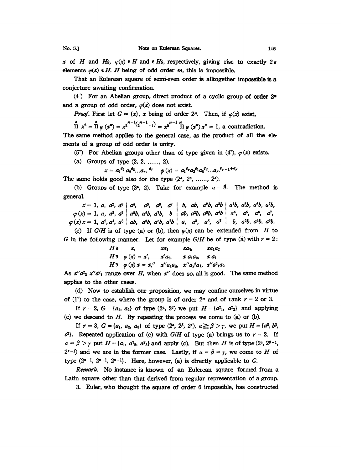x of H and Hs,  $\varphi(x) \in H$  and  $\in H$ s, respectively, giving rise to exactly 26 elements  $\varphi(x) \in H$ . H being of odd order m, this is impossible.

That an Eulerean square of semi-even order is alltogether impossible is a conjecture awaiting confirmation.

 $(4^{\circ})$  For an Abelian group, direct product of a cyclic group of order  $2^{\omega}$ and a group of odd order,  $\varphi(x)$  does not exist.

*Proof.* First let  $G = \{x\}$ , x being of order 2<sup>n</sup>. Then, if  $\varphi(x)$  exist,

 $\prod_{n=1}^{a} x^{a} = \prod_{n=1}^{a} \varphi(x^{a}) = x^{2^{n-1}(x^{n-1}-1)} = x^{2^{n-1}\prod_{n=1}^{n} \varphi(x^{a}) x^{a}} = 1$ , a contradiction.

The same method applies to the general case, as the product of all the elements of a group of odd order is unity.

(5°) For Abelian groups other than of type given in (4°),  $\varphi(x)$  exists.

(a) Groups of type  $(2, 2, \ldots, 2)$ .

$$
x = a_1^{e_2} a_2^{e_2} ... a_r, ^{e_r} \quad \varphi(x) = a_1^{e_r} a_2^{e_1} a_3^{e_2} ... a_r^{e_{r-1}+e_r}
$$

The same holds good also for the type  $(2^a, 2^a, \ldots, 2^a)$ .

(b) Groups of type  $(2^a, 2)$ . Take for example  $a = 8$ . The method is general.

 $x = 1$ , a,  $a^2$ ,  $a^3$  |  $a^4$ ,  $a^5$ ,  $a^6$ ,  $a^7$  | b, ab,  $a^2b$ ,  $a^8b$  |  $a^4b$ ,  $a^5b$ ,  $a^6b$ ,  $a^7b$ ,  $\varphi(x) = 1, a, a^2, a^8 | a^6b, a^6b, a^7b, b | ab, a^2b, a^8b, a^4b | a^4, a^5, a^6, a^7,$  $\varphi(x) x = 1, a^2, a^4, a^6 \mid ab, a^3b, a^5b, a^7b \mid a, a^3, a^5, a^7 \mid b, a^2b, a^4b, a^6b.$ 

(c) If  $G/H$  is of type (a) or (b), then  $\varphi(x)$  can be extended from H to G in the following manner. Let for example  $G/H$  be of type (a) with  $r = 2$ :

$$
H \ni x, \quad xa_1 \quad xa_2, \quad xa_1a_2
$$
  
\n
$$
H \ni \varphi(x) = x', \quad x'a_2, \quad x a_1a_2, \quad xa_1
$$
  
\n
$$
H \ni \varphi(x) x = x'', \quad x'' a_1a_2, \quad x'' a_2^2 a_1, \quad x'' a_1^2 a_2
$$

As  $x''a^2$   $x''a^2$  range over H, when x'' does so, all is good. The same method applies to the other cases.

(d) Now to establish our proposition, we may' confine ourselves in virtue of (1°) to the case, where the group is of order  $2<sup>n</sup>$  and of  $rank r = 2$  or 3.

If  $r = 2$ ,  $G = \{a_1, a_2\}$  of type  $(2^a, 2^b)$  we put  $H = \{a_1^2, a_2^2\}$  and applying (c) we descend to H. By repeating the process we come to (a) or (b).

If  $r = 3$ ,  $G = \{a_1, a_2, a_3\}$  of type  $(2^a, 2^{\beta}, 2^r), a \ge \beta > r$ , we put  $H = \{a^2, b^2, a_1, a_2, a_3\}$  $c^2$ . Repeated application of (c) with  $G/H$  of type (a) brings us to  $r = 2$ . If  $\alpha = \beta > \gamma$  put  $H = \{a_1, a^2_2, a^2_3\}$  and apply (c). But then H is of type (2<sup>a</sup>, 2<sup> $\beta$ -1</sup>, 2<sup>r-1</sup>) and we are in the former case. Lastly, if  $\alpha = \beta = \gamma$ , we come to H of type (2<sup>a-1</sup>, 2<sup>a-1</sup>, 2<sup>a-1</sup>). Here, however, (a)  $2^{r-1}$ ) and we are in the former case. Lastly, if  $\alpha = \beta = \gamma$ , we come to H of type  $(2^{a-1}, 2^{a-1}, 2^{a-1})$ . Here, however, (a) is directly applicable to G.

Remark. No instance is known of an Eulerean square formed from a Latin square other than that derived from regular representation of a group.

3. Euler, who thought the square of order 6 impossible, has constructed